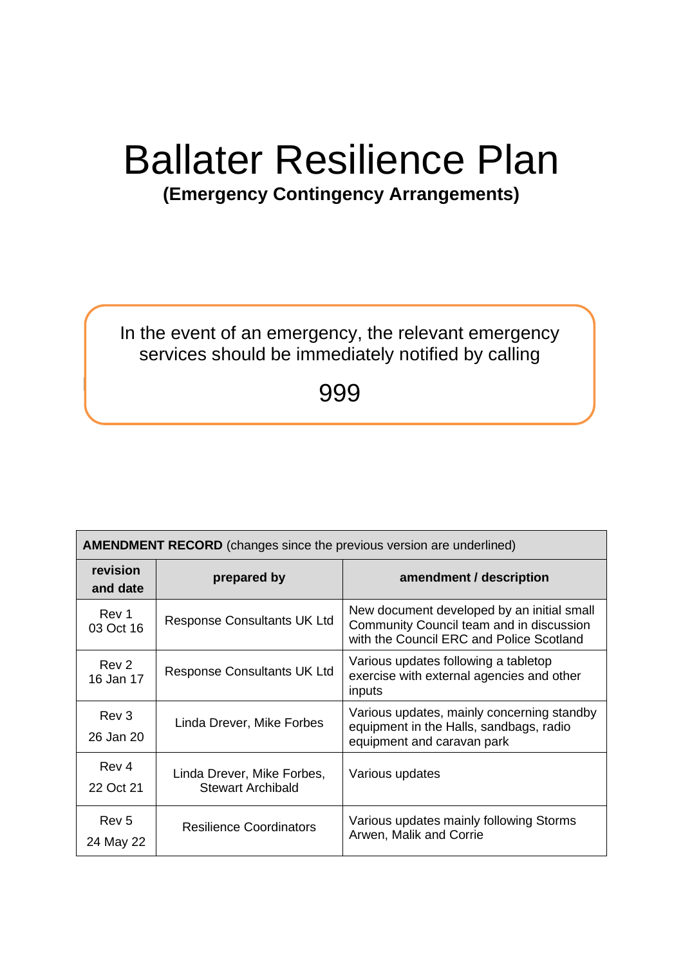# Ballater Resilience Plan

# **(Emergency Contingency Arrangements)**

## In the event of an emergency, the relevant emergency services should be immediately notified by calling

999

Index

| <b>AMENDMENT RECORD</b> (changes since the previous version are underlined) |                                                        |                                                                                                                                    |
|-----------------------------------------------------------------------------|--------------------------------------------------------|------------------------------------------------------------------------------------------------------------------------------------|
| revision<br>and date                                                        | prepared by                                            | amendment / description                                                                                                            |
| Rev 1<br>03 Oct 16                                                          | <b>Response Consultants UK Ltd</b>                     | New document developed by an initial small<br>Community Council team and in discussion<br>with the Council ERC and Police Scotland |
| Rev <sub>2</sub><br>16 Jan 17                                               | <b>Response Consultants UK Ltd</b>                     | Various updates following a tabletop<br>exercise with external agencies and other<br>inputs                                        |
| Rev 3<br>26 Jan 20                                                          | Linda Drever, Mike Forbes                              | Various updates, mainly concerning standby<br>equipment in the Halls, sandbags, radio<br>equipment and caravan park                |
| Rev 4<br>22 Oct 21                                                          | Linda Drever, Mike Forbes,<br><b>Stewart Archibald</b> | Various updates                                                                                                                    |
| Rev <sub>5</sub><br>24 May 22                                               | <b>Resilience Coordinators</b>                         | Various updates mainly following Storms<br>Arwen, Malik and Corrie                                                                 |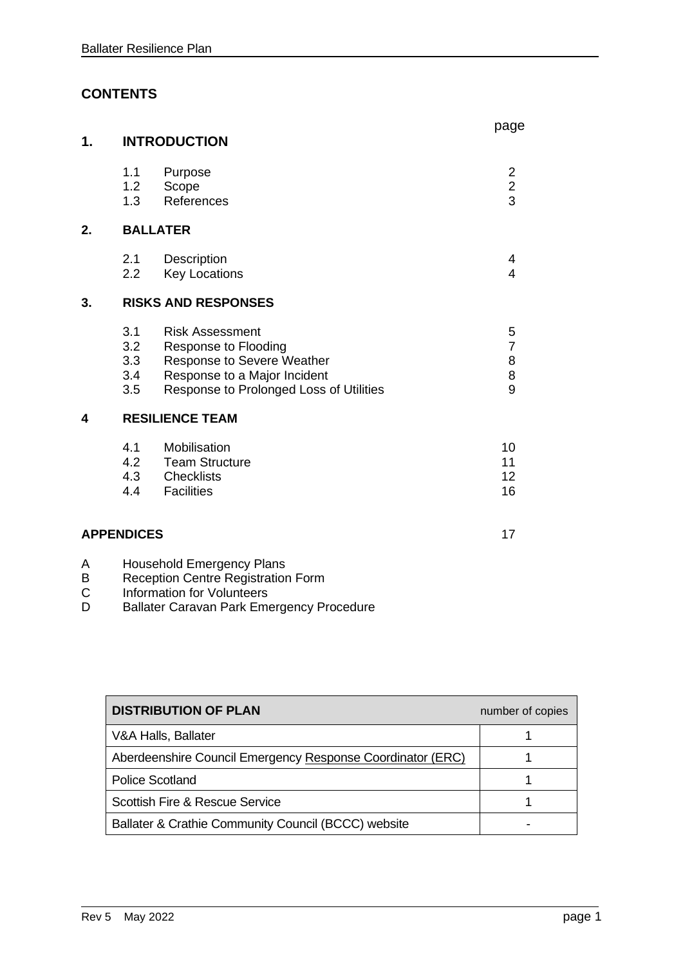## **CONTENTS**

| 1. |                                 | <b>INTRODUCTION</b>                                                                                                                                     | page                               |
|----|---------------------------------|---------------------------------------------------------------------------------------------------------------------------------------------------------|------------------------------------|
|    | 1.1<br>1.2 <sub>1</sub><br>1.3  | Purpose<br>Scope<br>References                                                                                                                          | $\overline{2}$<br>$\frac{2}{3}$    |
| 2. |                                 | <b>BALLATER</b>                                                                                                                                         |                                    |
|    | 2.1<br>2.2                      | Description<br><b>Key Locations</b>                                                                                                                     | 4<br>4                             |
| 3. |                                 | <b>RISKS AND RESPONSES</b>                                                                                                                              |                                    |
|    | 3.1<br>3.2<br>3.3<br>3.4<br>3.5 | <b>Risk Assessment</b><br>Response to Flooding<br>Response to Severe Weather<br>Response to a Major Incident<br>Response to Prolonged Loss of Utilities | 5<br>$\overline{7}$<br>8<br>8<br>9 |
| 4  |                                 | <b>RESILIENCE TEAM</b>                                                                                                                                  |                                    |
|    | 4.1<br>4.2<br>4.3<br>4.4        | Mobilisation<br><b>Team Structure</b><br><b>Checklists</b><br><b>Facilities</b>                                                                         | 10<br>11<br>12 <sub>2</sub><br>16  |
|    | <b>APPENDICES</b>               |                                                                                                                                                         | 17                                 |
| Α  |                                 | <b>Household Emergency Plans</b>                                                                                                                        |                                    |

- B Reception Centre Registration Form
- C Information for Volunteers
- D Ballater Caravan Park Emergency Procedure

| <b>DISTRIBUTION OF PLAN</b>                                | number of copies |
|------------------------------------------------------------|------------------|
| V&A Halls, Ballater                                        |                  |
| Aberdeenshire Council Emergency Response Coordinator (ERC) |                  |
| <b>Police Scotland</b>                                     |                  |
| <b>Scottish Fire &amp; Rescue Service</b>                  |                  |
| Ballater & Crathie Community Council (BCCC) website        |                  |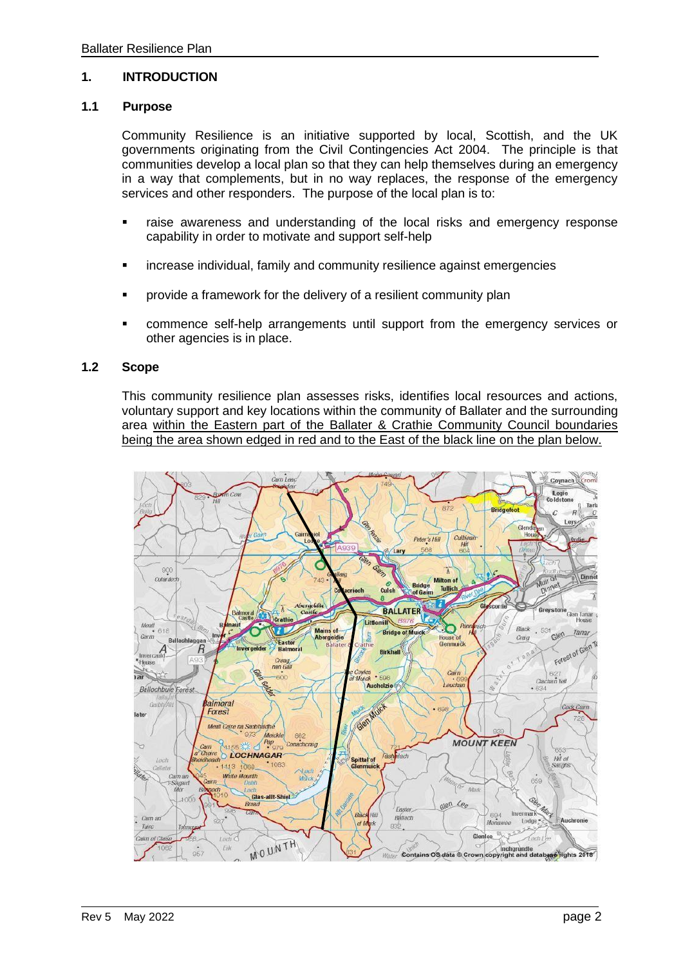#### **1. INTRODUCTION**

#### **1.1 Purpose**

Community Resilience is an initiative supported by local, Scottish, and the UK governments originating from the Civil Contingencies Act 2004. The principle is that communities develop a local plan so that they can help themselves during an emergency in a way that complements, but in no way replaces, the response of the emergency services and other responders. The purpose of the local plan is to:

- **■** raise awareness and understanding of the local risks and emergency response capability in order to motivate and support self-help
- **•** increase individual, family and community resilience against emergencies
- **•** provide a framework for the delivery of a resilient community plan
- commence self-help arrangements until support from the emergency services or other agencies is in place.

#### **1.2 Scope**

This community resilience plan assesses risks, identifies local resources and actions, voluntary support and key locations within the community of Ballater and the surrounding area within the Eastern part of the Ballater & Crathie Community Council boundaries being the area shown edged in red and to the East of the black line on the plan below.

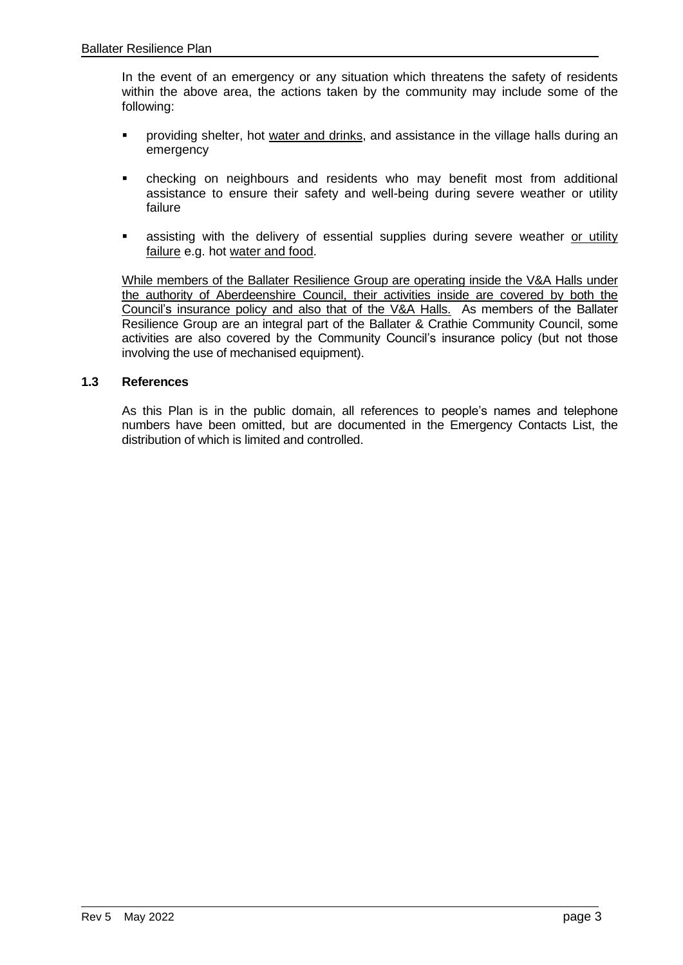In the event of an emergency or any situation which threatens the safety of residents within the above area, the actions taken by the community may include some of the following:

- providing shelter, hot water and drinks, and assistance in the village halls during an emergency
- checking on neighbours and residents who may benefit most from additional assistance to ensure their safety and well-being during severe weather or utility failure
- **EXECT** assisting with the delivery of essential supplies during severe weather or utility failure e.g. hot water and food.

While members of the Ballater Resilience Group are operating inside the V&A Halls under the authority of Aberdeenshire Council, their activities inside are covered by both the Council's insurance policy and also that of the V&A Halls. As members of the Ballater Resilience Group are an integral part of the Ballater & Crathie Community Council, some activities are also covered by the Community Council's insurance policy (but not those involving the use of mechanised equipment).

#### **1.3 References**

As this Plan is in the public domain, all references to people's names and telephone numbers have been omitted, but are documented in the Emergency Contacts List, the distribution of which is limited and controlled.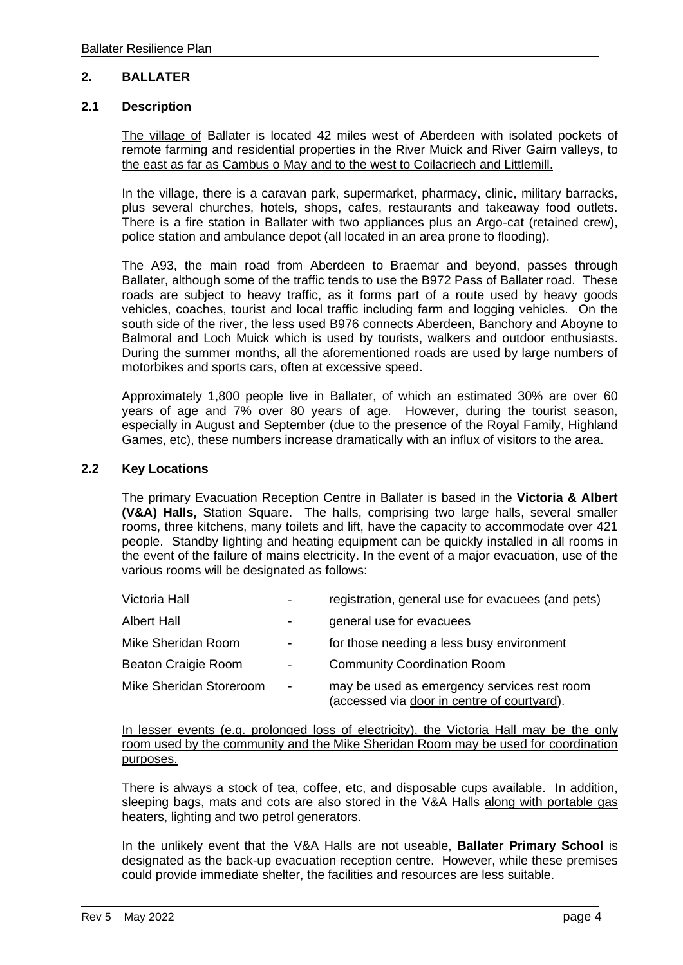#### **2. BALLATER**

#### **2.1 Description**

The village of Ballater is located 42 miles west of Aberdeen with isolated pockets of remote farming and residential properties in the River Muick and River Gairn valleys, to the east as far as Cambus o May and to the west to Coilacriech and Littlemill.

In the village, there is a caravan park, supermarket, pharmacy, clinic, military barracks, plus several churches, hotels, shops, cafes, restaurants and takeaway food outlets. There is a fire station in Ballater with two appliances plus an Argo-cat (retained crew), police station and ambulance depot (all located in an area prone to flooding).

The A93, the main road from Aberdeen to Braemar and beyond, passes through Ballater, although some of the traffic tends to use the B972 Pass of Ballater road. These roads are subject to heavy traffic, as it forms part of a route used by heavy goods vehicles, coaches, tourist and local traffic including farm and logging vehicles. On the south side of the river, the less used B976 connects Aberdeen, Banchory and Aboyne to Balmoral and Loch Muick which is used by tourists, walkers and outdoor enthusiasts. During the summer months, all the aforementioned roads are used by large numbers of motorbikes and sports cars, often at excessive speed.

Approximately 1,800 people live in Ballater, of which an estimated 30% are over 60 years of age and 7% over 80 years of age. However, during the tourist season, especially in August and September (due to the presence of the Royal Family, Highland Games, etc), these numbers increase dramatically with an influx of visitors to the area.

#### **2.2 Key Locations**

The primary Evacuation Reception Centre in Ballater is based in the **Victoria & Albert (V&A) Halls,** Station Square. The halls, comprising two large halls, several smaller rooms, three kitchens, many toilets and lift, have the capacity to accommodate over 421 people. Standby lighting and heating equipment can be quickly installed in all rooms in the event of the failure of mains electricity. In the event of a major evacuation, use of the various rooms will be designated as follows:

| Victoria Hall           |                          | registration, general use for evacuees (and pets)                                          |
|-------------------------|--------------------------|--------------------------------------------------------------------------------------------|
| <b>Albert Hall</b>      |                          | general use for evacuees                                                                   |
| Mike Sheridan Room      | ۰.                       | for those needing a less busy environment                                                  |
| Beaton Craigie Room     | $\overline{\phantom{0}}$ | <b>Community Coordination Room</b>                                                         |
| Mike Sheridan Storeroom | $\blacksquare$           | may be used as emergency services rest room<br>(accessed via door in centre of courtyard). |

In lesser events (e.g. prolonged loss of electricity), the Victoria Hall may be the only room used by the community and the Mike Sheridan Room may be used for coordination purposes.

There is always a stock of tea, coffee, etc, and disposable cups available. In addition, sleeping bags, mats and cots are also stored in the V&A Halls along with portable gas heaters, lighting and two petrol generators.

In the unlikely event that the V&A Halls are not useable, **Ballater Primary School** is designated as the back-up evacuation reception centre. However, while these premises could provide immediate shelter, the facilities and resources are less suitable.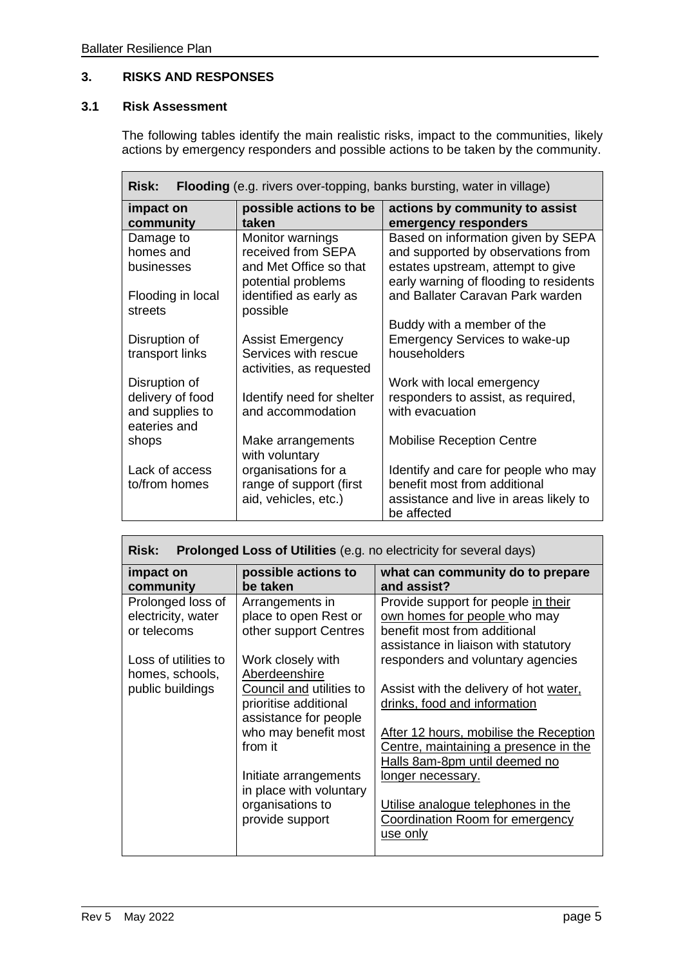#### **3. RISKS AND RESPONSES**

#### **3.1 Risk Assessment**

The following tables identify the main realistic risks, impact to the communities, likely actions by emergency responders and possible actions to be taken by the community.

| <b>Flooding</b> (e.g. rivers over-topping, banks bursting, water in village)<br><b>Risk:</b> |                                                                                        |                                                                                                                                                         |  |
|----------------------------------------------------------------------------------------------|----------------------------------------------------------------------------------------|---------------------------------------------------------------------------------------------------------------------------------------------------------|--|
| impact on<br>community                                                                       | possible actions to be<br>taken                                                        | actions by community to assist<br>emergency responders                                                                                                  |  |
| Damage to<br>homes and<br>businesses                                                         | Monitor warnings<br>received from SEPA<br>and Met Office so that<br>potential problems | Based on information given by SEPA<br>and supported by observations from<br>estates upstream, attempt to give<br>early warning of flooding to residents |  |
| Flooding in local<br>streets                                                                 | identified as early as<br>possible                                                     | and Ballater Caravan Park warden                                                                                                                        |  |
| Disruption of<br>transport links                                                             | <b>Assist Emergency</b><br>Services with rescue<br>activities, as requested            | Buddy with a member of the<br><b>Emergency Services to wake-up</b><br>householders                                                                      |  |
| Disruption of<br>delivery of food<br>and supplies to<br>eateries and                         | Identify need for shelter<br>and accommodation                                         | Work with local emergency<br>responders to assist, as required,<br>with evacuation                                                                      |  |
| shops                                                                                        | Make arrangements<br>with voluntary                                                    | <b>Mobilise Reception Centre</b>                                                                                                                        |  |
| Lack of access<br>to/from homes                                                              | organisations for a<br>range of support (first<br>aid, vehicles, etc.)                 | Identify and care for people who may<br>benefit most from additional<br>assistance and live in areas likely to<br>be affected                           |  |

| <b>Risk:</b><br><b>Prolonged Loss of Utilities</b> (e.g. no electricity for several days) |                                                                            |                                                                                                                                             |  |
|-------------------------------------------------------------------------------------------|----------------------------------------------------------------------------|---------------------------------------------------------------------------------------------------------------------------------------------|--|
| impact on<br>community                                                                    | possible actions to<br>be taken                                            | what can community do to prepare<br>and assist?                                                                                             |  |
| Prolonged loss of<br>electricity, water<br>or telecoms                                    | Arrangements in<br>place to open Rest or<br>other support Centres          | Provide support for people in their<br>own homes for people who may<br>benefit most from additional<br>assistance in liaison with statutory |  |
| Loss of utilities to<br>homes, schools,                                                   | Work closely with<br>Aberdeenshire                                         | responders and voluntary agencies                                                                                                           |  |
| public buildings                                                                          | Council and utilities to<br>prioritise additional<br>assistance for people | Assist with the delivery of hot water,<br>drinks, food and information                                                                      |  |
|                                                                                           | who may benefit most<br>from it                                            | After 12 hours, mobilise the Reception<br>Centre, maintaining a presence in the<br>Halls 8am-8pm until deemed no                            |  |
|                                                                                           | Initiate arrangements<br>in place with voluntary                           | longer necessary.                                                                                                                           |  |
|                                                                                           | organisations to<br>provide support                                        | Utilise analogue telephones in the<br>Coordination Room for emergency<br>use only                                                           |  |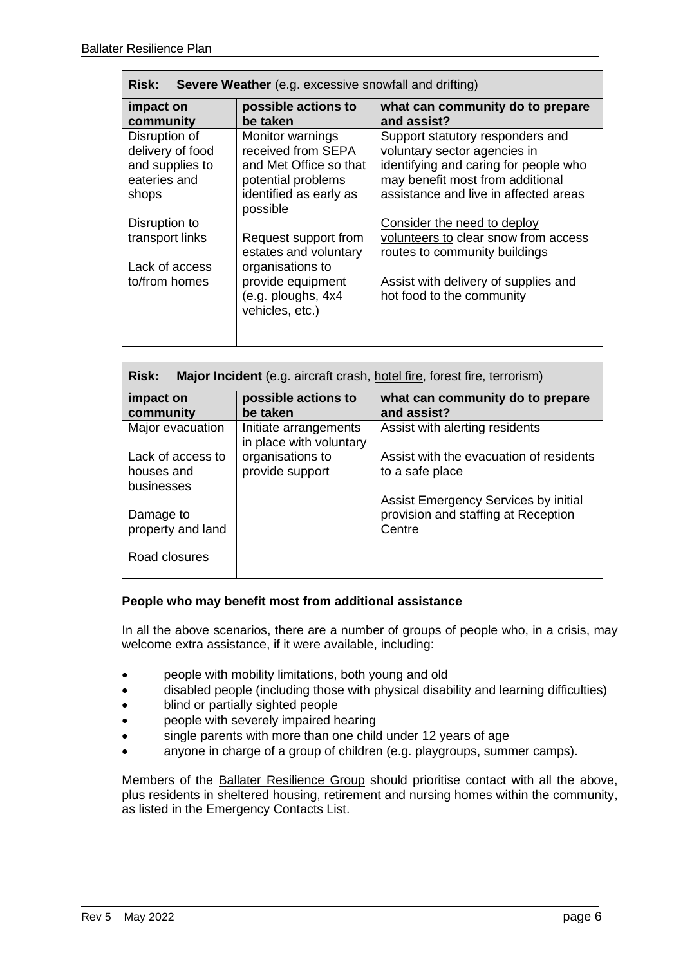| Severe Weather (e.g. excessive snowfall and drifting)<br><b>Risk:</b>         |                                                                                                                                 |                                                                                                                                                                                        |  |
|-------------------------------------------------------------------------------|---------------------------------------------------------------------------------------------------------------------------------|----------------------------------------------------------------------------------------------------------------------------------------------------------------------------------------|--|
| impact on<br>community                                                        | possible actions to<br>be taken                                                                                                 | what can community do to prepare<br>and assist?                                                                                                                                        |  |
| Disruption of<br>delivery of food<br>and supplies to<br>eateries and<br>shops | Monitor warnings<br>received from SEPA<br>and Met Office so that<br>potential problems<br>identified as early as<br>possible    | Support statutory responders and<br>voluntary sector agencies in<br>identifying and caring for people who<br>may benefit most from additional<br>assistance and live in affected areas |  |
| Disruption to<br>transport links<br>Lack of access<br>to/from homes           | Request support from<br>estates and voluntary<br>organisations to<br>provide equipment<br>(e.g. ploughs, 4x4<br>vehicles, etc.) | Consider the need to deploy<br>volunteers to clear snow from access<br>routes to community buildings<br>Assist with delivery of supplies and<br>hot food to the community              |  |

| <b>Risk:</b><br>Major Incident (e.g. aircraft crash, hotel fire, forest fire, terrorism) |                                                  |                                                 |  |
|------------------------------------------------------------------------------------------|--------------------------------------------------|-------------------------------------------------|--|
| impact on<br>community                                                                   | possible actions to<br>be taken                  | what can community do to prepare<br>and assist? |  |
| Major evacuation                                                                         | Initiate arrangements<br>in place with voluntary | Assist with alerting residents                  |  |
| Lack of access to                                                                        | organisations to                                 | Assist with the evacuation of residents         |  |
| houses and<br>businesses                                                                 | provide support                                  | to a safe place                                 |  |
|                                                                                          |                                                  | Assist Emergency Services by initial            |  |
| Damage to<br>property and land                                                           |                                                  | provision and staffing at Reception<br>Centre   |  |
| Road closures                                                                            |                                                  |                                                 |  |

#### **People who may benefit most from additional assistance**

In all the above scenarios, there are a number of groups of people who, in a crisis, may welcome extra assistance, if it were available, including:

- people with mobility limitations, both young and old
- disabled people (including those with physical disability and learning difficulties)
- blind or partially sighted people
- people with severely impaired hearing
- single parents with more than one child under 12 years of age
- anyone in charge of a group of children (e.g. playgroups, summer camps).

Members of the Ballater Resilience Group should prioritise contact with all the above, plus residents in sheltered housing, retirement and nursing homes within the community, as listed in the Emergency Contacts List.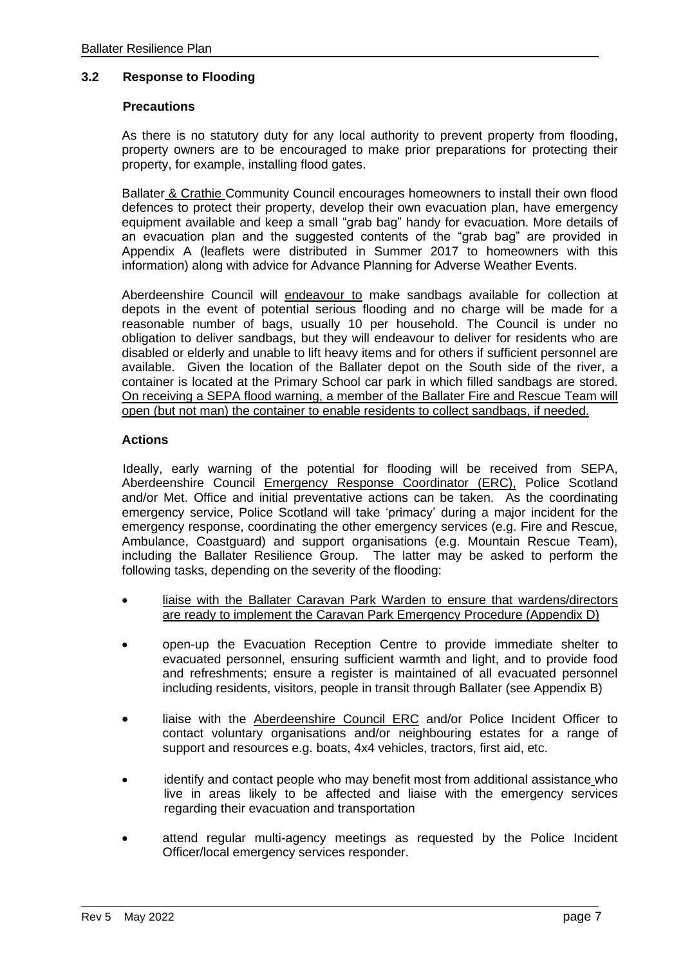#### **3.2 Response to Flooding**

#### **Precautions**

As there is no statutory duty for any local authority to prevent property from flooding, property owners are to be encouraged to make prior preparations for protecting their property, for example, installing flood gates.

Ballater & Crathie Community Council encourages homeowners to install their own flood defences to protect their property, develop their own evacuation plan, have emergency equipment available and keep a small "grab bag" handy for evacuation. More details of an evacuation plan and the suggested contents of the "grab bag" are provided in Appendix A (leaflets were distributed in Summer 2017 to homeowners with this information) along with advice for Advance Planning for Adverse Weather Events.

Aberdeenshire Council will endeavour to make sandbags available for collection at depots in the event of potential serious flooding and no charge will be made for a reasonable number of bags, usually 10 per household. The Council is under no obligation to deliver sandbags, but they will endeavour to deliver for residents who are disabled or elderly and unable to lift heavy items and for others if sufficient personnel are available. Given the location of the Ballater depot on the South side of the river, a container is located at the Primary School car park in which filled sandbags are stored. On receiving a SEPA flood warning, a member of the Ballater Fire and Rescue Team will open (but not man) the container to enable residents to collect sandbags, if needed.

#### **Actions**

Ideally, early warning of the potential for flooding will be received from SEPA, Aberdeenshire Council Emergency Response Coordinator (ERC), Police Scotland and/or Met. Office and initial preventative actions can be taken. As the coordinating emergency service, Police Scotland will take 'primacy' during a major incident for the emergency response, coordinating the other emergency services (e.g. Fire and Rescue, Ambulance, Coastguard) and support organisations (e.g. Mountain Rescue Team), including the Ballater Resilience Group. The latter may be asked to perform the following tasks, depending on the severity of the flooding:

- liaise with the Ballater Caravan Park Warden to ensure that wardens/directors are ready to implement the Caravan Park Emergency Procedure (Appendix D)
- open-up the Evacuation Reception Centre to provide immediate shelter to evacuated personnel, ensuring sufficient warmth and light, and to provide food and refreshments; ensure a register is maintained of all evacuated personnel including residents, visitors, people in transit through Ballater (see Appendix B)
- liaise with the Aberdeenshire Council ERC and/or Police Incident Officer to contact voluntary organisations and/or neighbouring estates for a range of support and resources e.g. boats, 4x4 vehicles, tractors, first aid, etc.
- identify and contact people who may benefit most from additional assistance who live in areas likely to be affected and liaise with the emergency services regarding their evacuation and transportation
- attend regular multi-agency meetings as requested by the Police Incident Officer/local emergency services responder.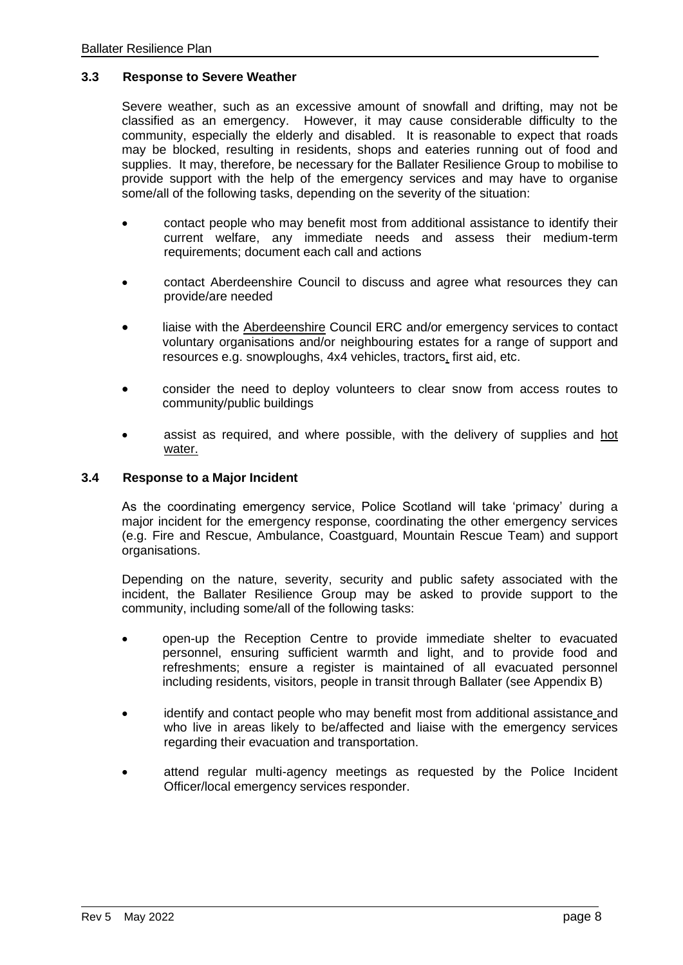#### **3.3 Response to Severe Weather**

Severe weather, such as an excessive amount of snowfall and drifting, may not be classified as an emergency. However, it may cause considerable difficulty to the community, especially the elderly and disabled. It is reasonable to expect that roads may be blocked, resulting in residents, shops and eateries running out of food and supplies. It may, therefore, be necessary for the Ballater Resilience Group to mobilise to provide support with the help of the emergency services and may have to organise some/all of the following tasks, depending on the severity of the situation:

- contact people who may benefit most from additional assistance to identify their current welfare, any immediate needs and assess their medium-term requirements; document each call and actions
- contact Aberdeenshire Council to discuss and agree what resources they can provide/are needed
- liaise with the Aberdeenshire Council ERC and/or emergency services to contact voluntary organisations and/or neighbouring estates for a range of support and resources e.g. snowploughs, 4x4 vehicles, tractors, first aid, etc.
- consider the need to deploy volunteers to clear snow from access routes to community/public buildings
- assist as required, and where possible, with the delivery of supplies and hot water.

#### **3.4 Response to a Major Incident**

As the coordinating emergency service, Police Scotland will take 'primacy' during a major incident for the emergency response, coordinating the other emergency services (e.g. Fire and Rescue, Ambulance, Coastguard, Mountain Rescue Team) and support organisations.

Depending on the nature, severity, security and public safety associated with the incident, the Ballater Resilience Group may be asked to provide support to the community, including some/all of the following tasks:

- open-up the Reception Centre to provide immediate shelter to evacuated personnel, ensuring sufficient warmth and light, and to provide food and refreshments; ensure a register is maintained of all evacuated personnel including residents, visitors, people in transit through Ballater (see Appendix B)
- identify and contact people who may benefit most from additional assistance and who live in areas likely to be/affected and liaise with the emergency services regarding their evacuation and transportation.
- attend regular multi-agency meetings as requested by the Police Incident Officer/local emergency services responder.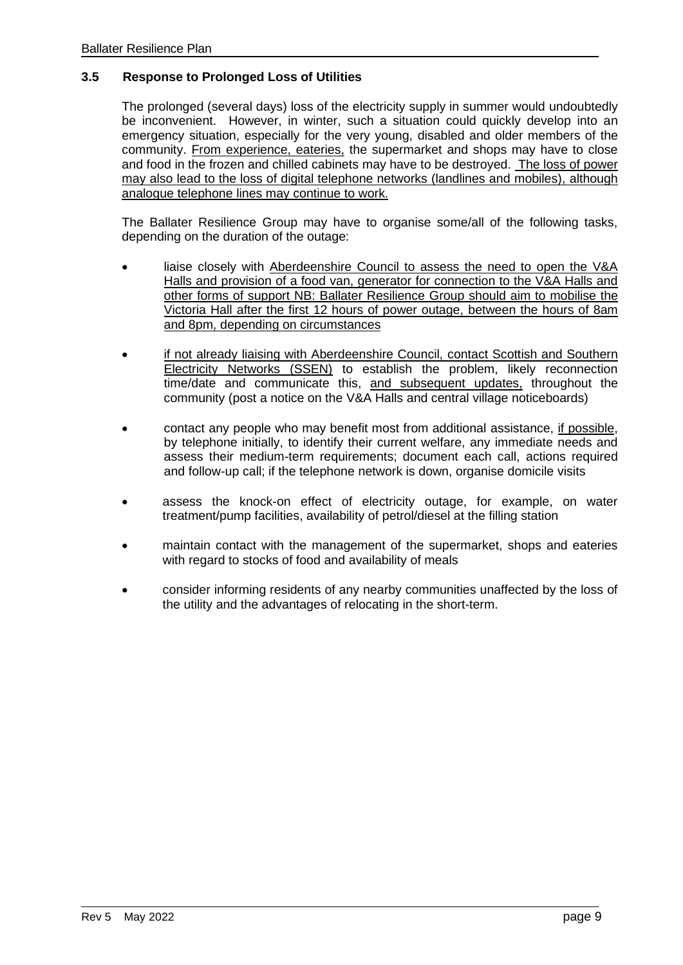#### **3.5 Response to Prolonged Loss of Utilities**

The prolonged (several days) loss of the electricity supply in summer would undoubtedly be inconvenient. However, in winter, such a situation could quickly develop into an emergency situation, especially for the very young, disabled and older members of the community. From experience, eateries, the supermarket and shops may have to close and food in the frozen and chilled cabinets may have to be destroyed. The loss of power may also lead to the loss of digital telephone networks (landlines and mobiles), although analogue telephone lines may continue to work.

The Ballater Resilience Group may have to organise some/all of the following tasks, depending on the duration of the outage:

- liaise closely with Aberdeenshire Council to assess the need to open the V&A Halls and provision of a food van, generator for connection to the V&A Halls and other forms of support NB: Ballater Resilience Group should aim to mobilise the Victoria Hall after the first 12 hours of power outage, between the hours of 8am and 8pm, depending on circumstances
- if not already liaising with Aberdeenshire Council, contact Scottish and Southern Electricity Networks (SSEN) to establish the problem, likely reconnection time/date and communicate this, and subsequent updates, throughout the community (post a notice on the V&A Halls and central village noticeboards)
- contact any people who may benefit most from additional assistance, if possible, by telephone initially, to identify their current welfare, any immediate needs and assess their medium-term requirements; document each call, actions required and follow-up call; if the telephone network is down, organise domicile visits
- assess the knock-on effect of electricity outage, for example, on water treatment/pump facilities, availability of petrol/diesel at the filling station
- maintain contact with the management of the supermarket, shops and eateries with regard to stocks of food and availability of meals
- consider informing residents of any nearby communities unaffected by the loss of the utility and the advantages of relocating in the short-term.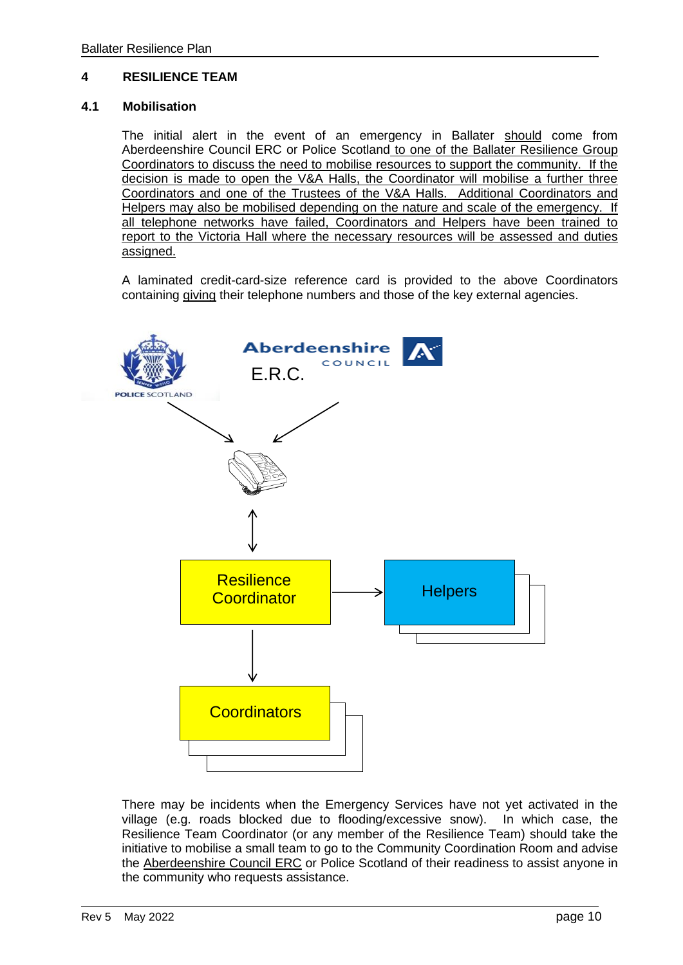#### **4 RESILIENCE TEAM**

#### **4.1 Mobilisation**

The initial alert in the event of an emergency in Ballater should come from Aberdeenshire Council ERC or Police Scotland to one of the Ballater Resilience Group Coordinators to discuss the need to mobilise resources to support the community. If the decision is made to open the V&A Halls, the Coordinator will mobilise a further three Coordinators and one of the Trustees of the V&A Halls. Additional Coordinators and Helpers may also be mobilised depending on the nature and scale of the emergency. If all telephone networks have failed, Coordinators and Helpers have been trained to report to the Victoria Hall where the necessary resources will be assessed and duties assigned.

A laminated credit-card-size reference card is provided to the above Coordinators containing giving their telephone numbers and those of the key external agencies.



There may be incidents when the Emergency Services have not yet activated in the village (e.g. roads blocked due to flooding/excessive snow). In which case, the Resilience Team Coordinator (or any member of the Resilience Team) should take the initiative to mobilise a small team to go to the Community Coordination Room and advise the Aberdeenshire Council ERC or Police Scotland of their readiness to assist anyone in the community who requests assistance.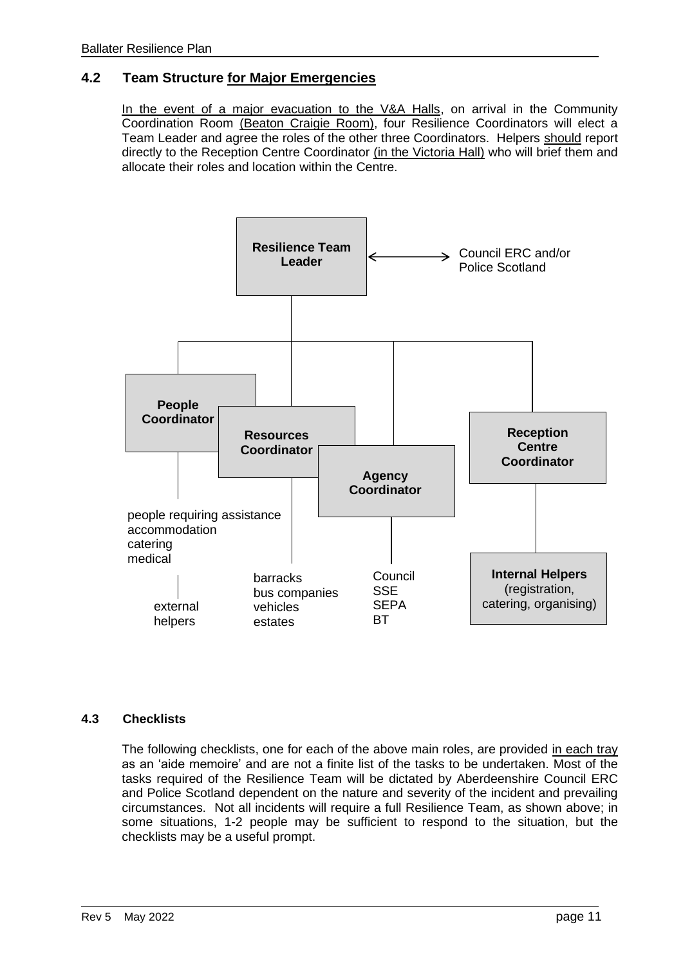#### **4.2 Team Structure for Major Emergencies**

In the event of a major evacuation to the V&A Halls, on arrival in the Community Coordination Room (Beaton Craigie Room), four Resilience Coordinators will elect a Team Leader and agree the roles of the other three Coordinators. Helpers should report directly to the Reception Centre Coordinator (in the Victoria Hall) who will brief them and allocate their roles and location within the Centre.



#### **4.3 Checklists**

The following checklists, one for each of the above main roles, are provided in each tray as an 'aide memoire' and are not a finite list of the tasks to be undertaken. Most of the tasks required of the Resilience Team will be dictated by Aberdeenshire Council ERC and Police Scotland dependent on the nature and severity of the incident and prevailing circumstances. Not all incidents will require a full Resilience Team, as shown above; in some situations, 1-2 people may be sufficient to respond to the situation, but the checklists may be a useful prompt.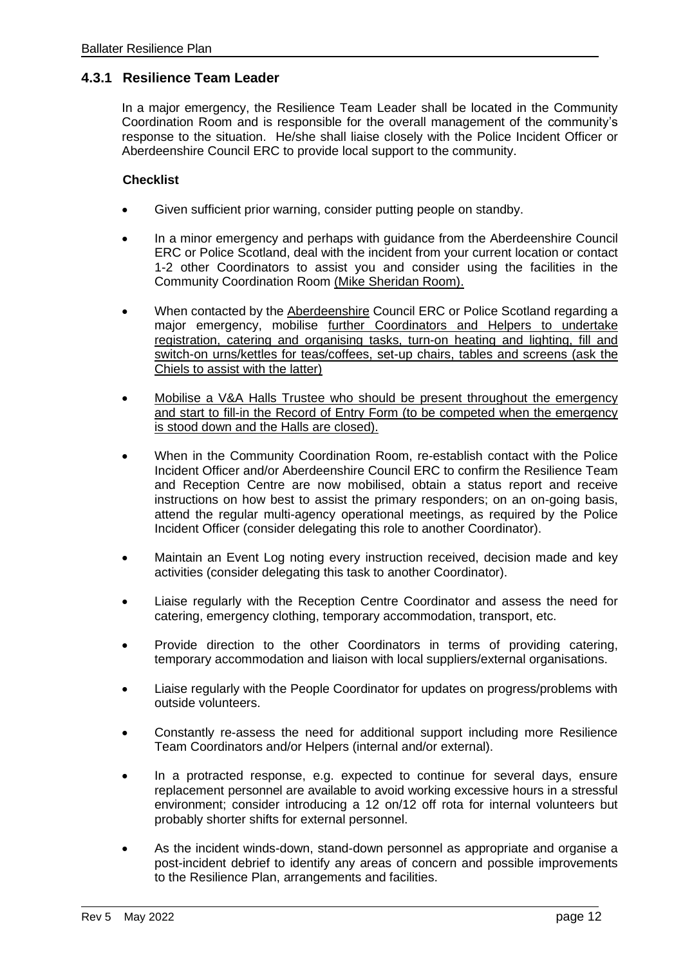#### **4.3.1 Resilience Team Leader**

In a major emergency, the Resilience Team Leader shall be located in the Community Coordination Room and is responsible for the overall management of the community's response to the situation. He/she shall liaise closely with the Police Incident Officer or Aberdeenshire Council ERC to provide local support to the community.

#### **Checklist**

- Given sufficient prior warning, consider putting people on standby.
- In a minor emergency and perhaps with guidance from the Aberdeenshire Council ERC or Police Scotland, deal with the incident from your current location or contact 1-2 other Coordinators to assist you and consider using the facilities in the Community Coordination Room (Mike Sheridan Room).
- When contacted by the Aberdeenshire Council ERC or Police Scotland regarding a major emergency, mobilise further Coordinators and Helpers to undertake registration, catering and organising tasks, turn-on heating and lighting, fill and switch-on urns/kettles for teas/coffees, set-up chairs, tables and screens (ask the Chiels to assist with the latter)
- Mobilise a V&A Halls Trustee who should be present throughout the emergency and start to fill-in the Record of Entry Form (to be competed when the emergency is stood down and the Halls are closed).
- When in the Community Coordination Room, re-establish contact with the Police Incident Officer and/or Aberdeenshire Council ERC to confirm the Resilience Team and Reception Centre are now mobilised, obtain a status report and receive instructions on how best to assist the primary responders; on an on-going basis, attend the regular multi-agency operational meetings, as required by the Police Incident Officer (consider delegating this role to another Coordinator).
- Maintain an Event Log noting every instruction received, decision made and key activities (consider delegating this task to another Coordinator).
- Liaise regularly with the Reception Centre Coordinator and assess the need for catering, emergency clothing, temporary accommodation, transport, etc.
- Provide direction to the other Coordinators in terms of providing catering, temporary accommodation and liaison with local suppliers/external organisations.
- Liaise regularly with the People Coordinator for updates on progress/problems with outside volunteers.
- Constantly re-assess the need for additional support including more Resilience Team Coordinators and/or Helpers (internal and/or external).
- In a protracted response, e.g. expected to continue for several days, ensure replacement personnel are available to avoid working excessive hours in a stressful environment; consider introducing a 12 on/12 off rota for internal volunteers but probably shorter shifts for external personnel.
- As the incident winds-down, stand-down personnel as appropriate and organise a post-incident debrief to identify any areas of concern and possible improvements to the Resilience Plan, arrangements and facilities.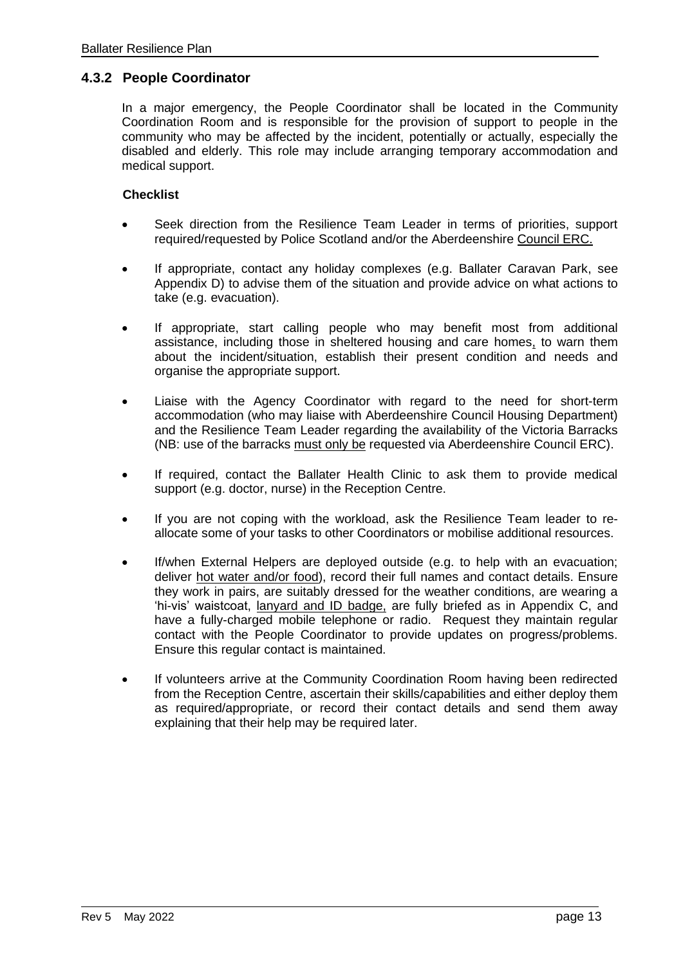#### **4.3.2 People Coordinator**

In a major emergency, the People Coordinator shall be located in the Community Coordination Room and is responsible for the provision of support to people in the community who may be affected by the incident, potentially or actually, especially the disabled and elderly. This role may include arranging temporary accommodation and medical support.

#### **Checklist**

- Seek direction from the Resilience Team Leader in terms of priorities, support required/requested by Police Scotland and/or the Aberdeenshire Council ERC.
- If appropriate, contact any holiday complexes (e.g. Ballater Caravan Park, see Appendix D) to advise them of the situation and provide advice on what actions to take (e.g. evacuation).
- If appropriate, start calling people who may benefit most from additional assistance, including those in sheltered housing and care homes, to warn them about the incident/situation, establish their present condition and needs and organise the appropriate support.
- Liaise with the Agency Coordinator with regard to the need for short-term accommodation (who may liaise with Aberdeenshire Council Housing Department) and the Resilience Team Leader regarding the availability of the Victoria Barracks (NB: use of the barracks must only be requested via Aberdeenshire Council ERC).
- If required, contact the Ballater Health Clinic to ask them to provide medical support (e.g. doctor, nurse) in the Reception Centre.
- If you are not coping with the workload, ask the Resilience Team leader to reallocate some of your tasks to other Coordinators or mobilise additional resources.
- If/when External Helpers are deployed outside (e.g. to help with an evacuation; deliver hot water and/or food), record their full names and contact details. Ensure they work in pairs, are suitably dressed for the weather conditions, are wearing a 'hi-vis' waistcoat, lanyard and ID badge, are fully briefed as in Appendix C, and have a fully-charged mobile telephone or radio. Request they maintain regular contact with the People Coordinator to provide updates on progress/problems. Ensure this regular contact is maintained.
- If volunteers arrive at the Community Coordination Room having been redirected from the Reception Centre, ascertain their skills/capabilities and either deploy them as required/appropriate, or record their contact details and send them away explaining that their help may be required later.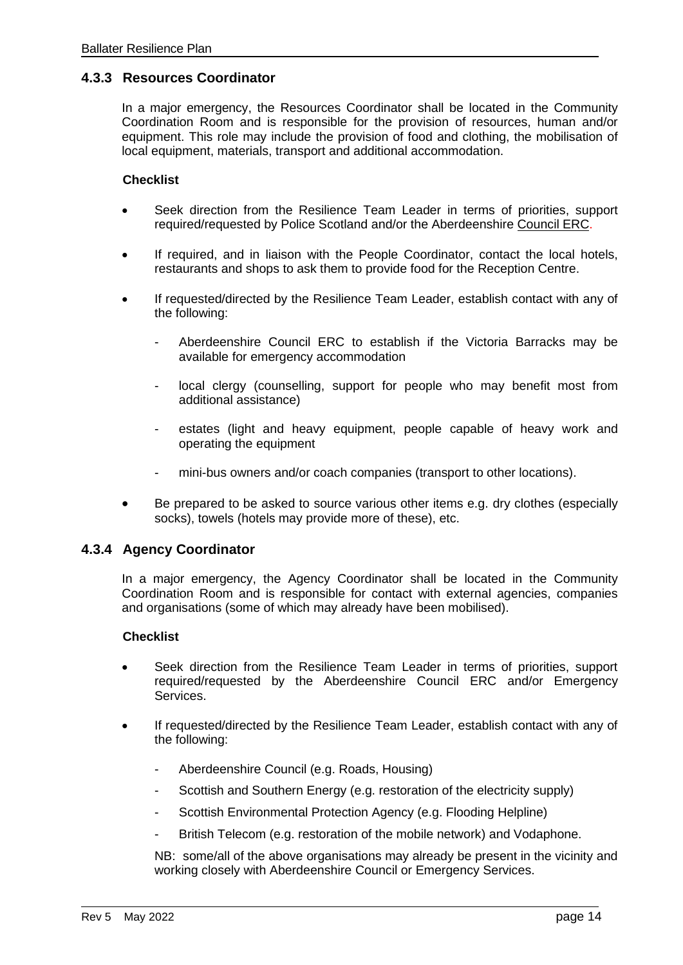#### **4.3.3 Resources Coordinator**

In a major emergency, the Resources Coordinator shall be located in the Community Coordination Room and is responsible for the provision of resources, human and/or equipment. This role may include the provision of food and clothing, the mobilisation of local equipment, materials, transport and additional accommodation.

#### **Checklist**

- Seek direction from the Resilience Team Leader in terms of priorities, support required/requested by Police Scotland and/or the Aberdeenshire Council ERC.
- If required, and in liaison with the People Coordinator, contact the local hotels, restaurants and shops to ask them to provide food for the Reception Centre.
- If requested/directed by the Resilience Team Leader, establish contact with any of the following:
	- Aberdeenshire Council ERC to establish if the Victoria Barracks may be available for emergency accommodation
	- local clergy (counselling, support for people who may benefit most from additional assistance)
	- estates (light and heavy equipment, people capable of heavy work and operating the equipment
	- mini-bus owners and/or coach companies (transport to other locations).
- Be prepared to be asked to source various other items e.g. dry clothes (especially socks), towels (hotels may provide more of these), etc.

#### **4.3.4 Agency Coordinator**

In a major emergency, the Agency Coordinator shall be located in the Community Coordination Room and is responsible for contact with external agencies, companies and organisations (some of which may already have been mobilised).

#### **Checklist**

- Seek direction from the Resilience Team Leader in terms of priorities, support required/requested by the Aberdeenshire Council ERC and/or Emergency Services.
- If requested/directed by the Resilience Team Leader, establish contact with any of the following:
	- Aberdeenshire Council (e.g. Roads, Housing)
	- Scottish and Southern Energy (e.g. restoration of the electricity supply)
	- Scottish Environmental Protection Agency (e.g. Flooding Helpline)
	- British Telecom (e.g. restoration of the mobile network) and Vodaphone.

NB: some/all of the above organisations may already be present in the vicinity and working closely with Aberdeenshire Council or Emergency Services.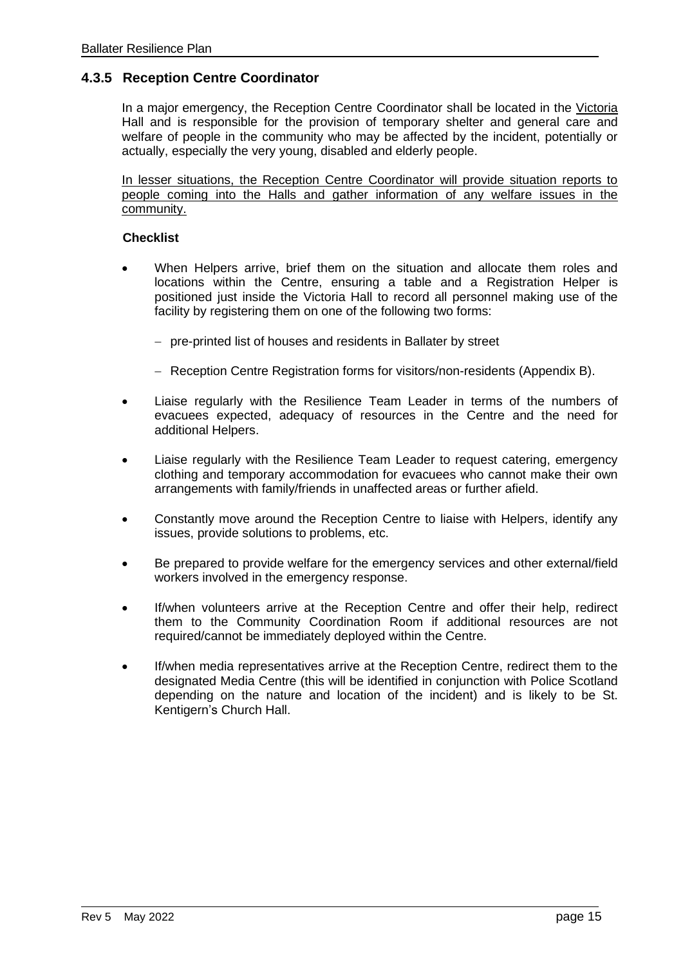#### **4.3.5 Reception Centre Coordinator**

In a major emergency, the Reception Centre Coordinator shall be located in the Victoria Hall and is responsible for the provision of temporary shelter and general care and welfare of people in the community who may be affected by the incident, potentially or actually, especially the very young, disabled and elderly people.

In lesser situations, the Reception Centre Coordinator will provide situation reports to people coming into the Halls and gather information of any welfare issues in the community.

#### **Checklist**

- When Helpers arrive, brief them on the situation and allocate them roles and locations within the Centre, ensuring a table and a Registration Helper is positioned just inside the Victoria Hall to record all personnel making use of the facility by registering them on one of the following two forms:
	- − pre-printed list of houses and residents in Ballater by street
	- − Reception Centre Registration forms for visitors/non-residents (Appendix B).
- Liaise regularly with the Resilience Team Leader in terms of the numbers of evacuees expected, adequacy of resources in the Centre and the need for additional Helpers.
- Liaise regularly with the Resilience Team Leader to request catering, emergency clothing and temporary accommodation for evacuees who cannot make their own arrangements with family/friends in unaffected areas or further afield.
- Constantly move around the Reception Centre to liaise with Helpers, identify any issues, provide solutions to problems, etc.
- Be prepared to provide welfare for the emergency services and other external/field workers involved in the emergency response.
- If/when volunteers arrive at the Reception Centre and offer their help, redirect them to the Community Coordination Room if additional resources are not required/cannot be immediately deployed within the Centre.
- If/when media representatives arrive at the Reception Centre, redirect them to the designated Media Centre (this will be identified in conjunction with Police Scotland depending on the nature and location of the incident) and is likely to be St. Kentigern's Church Hall.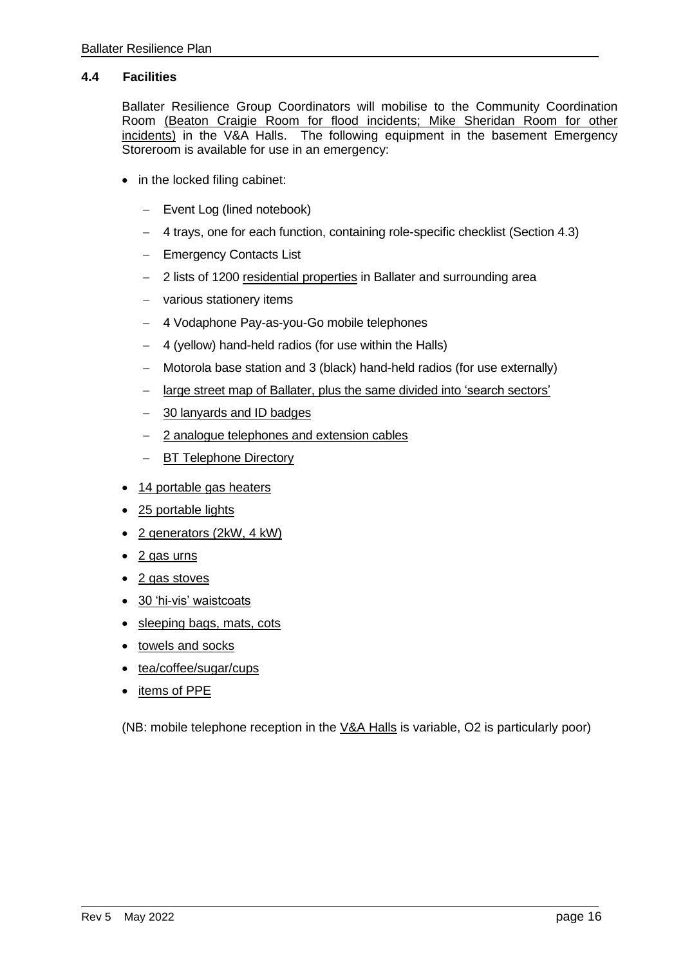#### **4.4 Facilities**

Ballater Resilience Group Coordinators will mobilise to the Community Coordination Room (Beaton Craigie Room for flood incidents; Mike Sheridan Room for other incidents) in the V&A Halls. The following equipment in the basement Emergency Storeroom is available for use in an emergency:

- in the locked filing cabinet:
	- − Event Log (lined notebook)
	- − 4 trays, one for each function, containing role-specific checklist (Section 4.3)
	- − Emergency Contacts List
	- − 2 lists of 1200 residential properties in Ballater and surrounding area
	- − various stationery items
	- − 4 Vodaphone Pay-as-you-Go mobile telephones
	- − 4 (yellow) hand-held radios (for use within the Halls)
	- − Motorola base station and 3 (black) hand-held radios (for use externally)
	- − large street map of Ballater, plus the same divided into 'search sectors'
	- − 30 lanyards and ID badges
	- − 2 analogue telephones and extension cables
	- − BT Telephone Directory
- 14 portable gas heaters
- 25 portable lights
- 2 generators (2kW, 4 kW)
- 2 gas urns
- 2 gas stoves
- 30 'hi-vis' waistcoats
- sleeping bags, mats, cots
- towels and socks
- tea/coffee/sugar/cups
- items of PPE

(NB: mobile telephone reception in the V&A Halls is variable, O2 is particularly poor)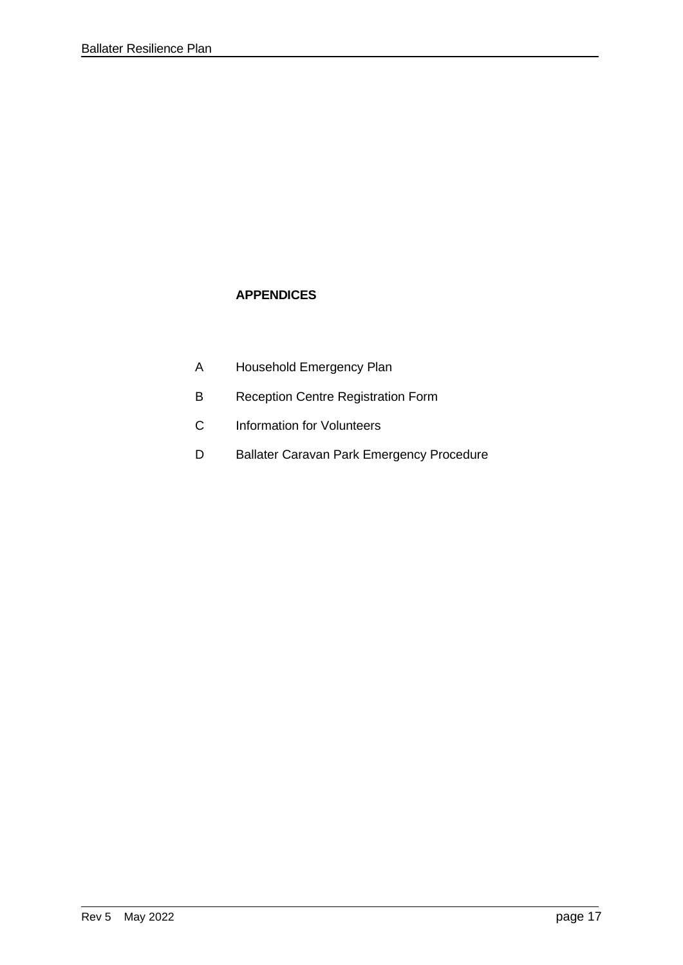### **APPENDICES**

- A Household Emergency Plan
- B Reception Centre Registration Form
- C Information for Volunteers
- D Ballater Caravan Park Emergency Procedure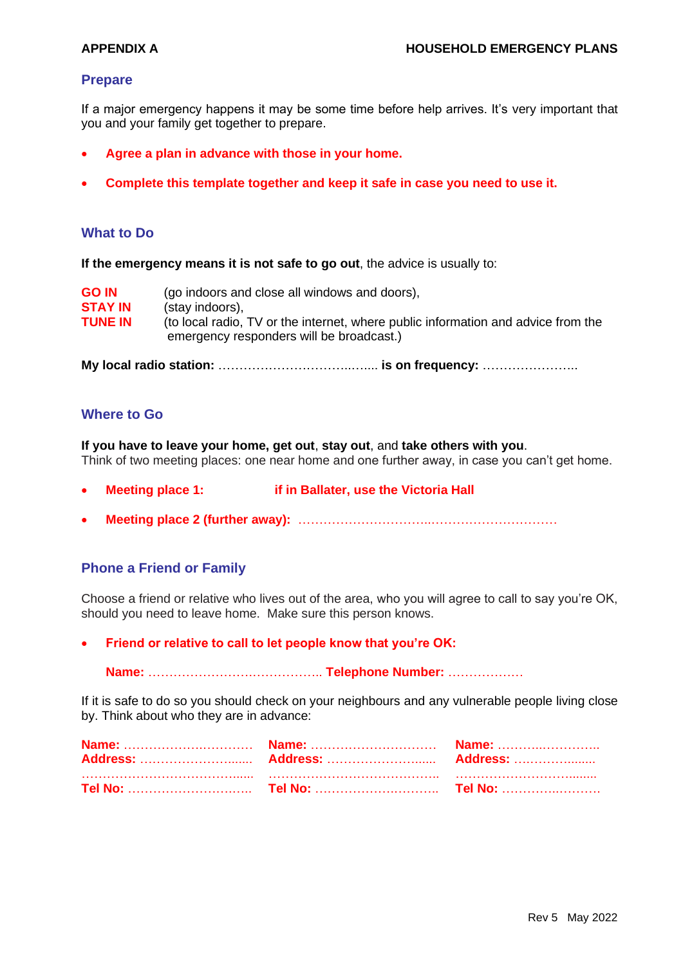#### **Prepare**

If a major emergency happens it may be some time before help arrives. It's very important that you and your family get together to prepare.

- **Agree a plan in advance with those in your home.**
- **Complete this template together and keep it safe in case you need to use it.**

#### **What to Do**

**If the emergency means it is not safe to go out**, the advice is usually to:

| <b>GO IN</b>   | (go indoors and close all windows and doors),                                                                                 |
|----------------|-------------------------------------------------------------------------------------------------------------------------------|
| <b>STAY IN</b> | (stay indoors),                                                                                                               |
| <b>TUNE IN</b> | (to local radio, TV or the internet, where public information and advice from the<br>emergency responders will be broadcast.) |

**My local radio station:** …………………………..….... **is on frequency:** …………………..

#### **Where to Go**

**If you have to leave your home, get out**, **stay out**, and **take others with you**. Think of two meeting places: one near home and one further away, in case you can't get home.

- **Meeting place 1: if in Ballater, use the Victoria Hall**
- **Meeting place 2 (further away):** …………………………..…………………………

#### **Phone a Friend or Family**

Choose a friend or relative who lives out of the area, who you will agree to call to say you're OK, should you need to leave home. Make sure this person knows.

• **Friend or relative to call to let people know that you're OK:**

**Name:** …………………….…………….. **Telephone Number:** ………………

If it is safe to do so you should check on your neighbours and any vulnerable people living close by. Think about who they are in advance: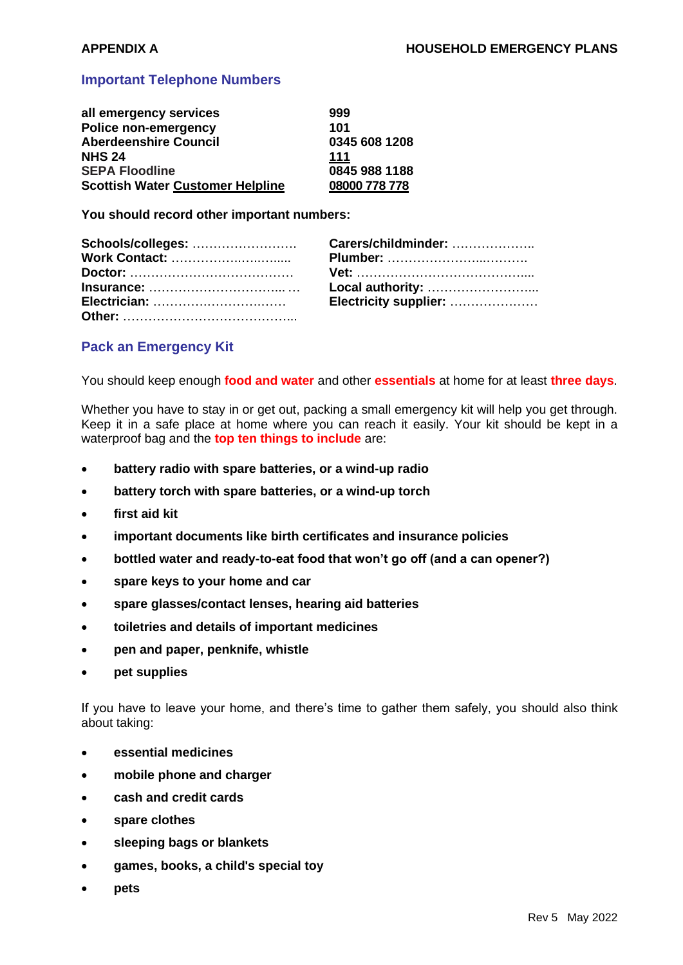#### **Important Telephone Numbers**

| all emergency services                  | 999           |
|-----------------------------------------|---------------|
| <b>Police non-emergency</b>             | 101           |
| <b>Aberdeenshire Council</b>            | 0345 608 1208 |
| <b>NHS 24</b>                           | 111           |
| <b>SEPA Floodline</b>                   | 0845 988 1188 |
| <b>Scottish Water Customer Helpline</b> | 08000 778 778 |

**You should record other important numbers:**

| Local authority:      |
|-----------------------|
| Electricity supplier: |
|                       |

#### **Pack an Emergency Kit**

You should keep enough **food and water** and other **essentials** at home for at least **three days**.

Whether you have to stay in or get out, packing a small emergency kit will help you get through. Keep it in a safe place at home where you can reach it easily. Your kit should be kept in a waterproof bag and the **top ten things to include** are:

- **battery radio with spare batteries, or a wind-up radio**
- **battery torch with spare batteries, or a wind-up torch**
- **first aid kit**
- **important documents like birth certificates and insurance policies**
- **bottled water and ready-to-eat food that won't go off (and a can opener?)**
- **spare keys to your home and car**
- **spare glasses/contact lenses, hearing aid batteries**
- **toiletries and details of important medicines**
- **pen and paper, penknife, whistle**
- **pet supplies**

If you have to leave your home, and there's time to gather them safely, you should also think about taking:

- **essential medicines**
- **mobile phone and charger**
- **cash and credit cards**
- **spare clothes**
- **sleeping bags or blankets**
- **games, books, a child's special toy**
- **pets**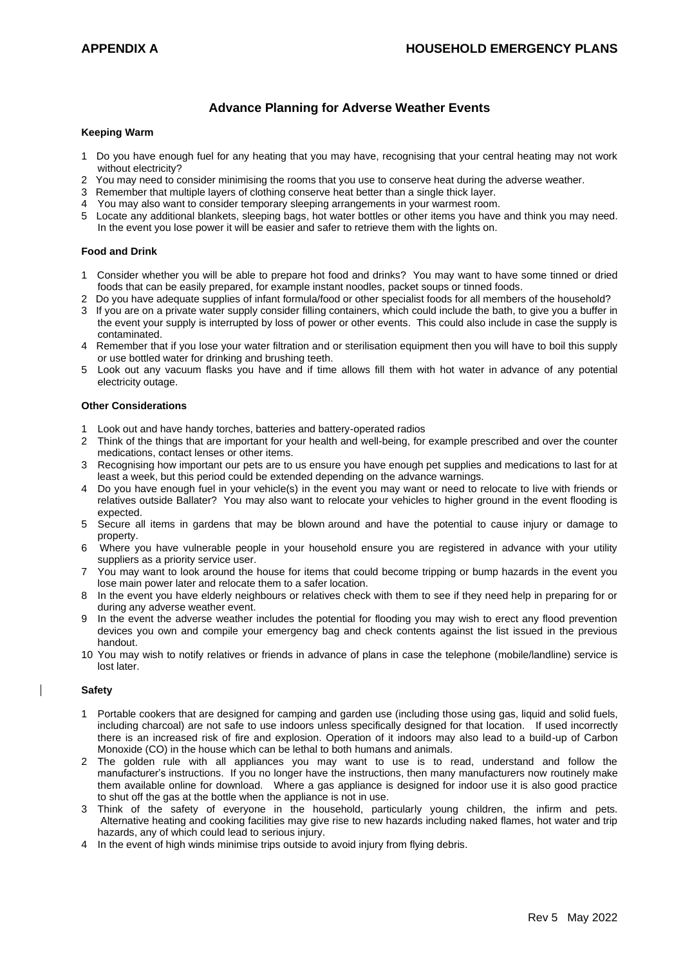#### **Advance Planning for Adverse Weather Events**

#### **Keeping Warm**

- 1 Do you have enough fuel for any heating that you may have, recognising that your central heating may not work without electricity?
- 2 You may need to consider minimising the rooms that you use to conserve heat during the adverse weather.
- 3 Remember that multiple layers of clothing conserve heat better than a single thick layer.
- You may also want to consider temporary sleeping arrangements in your warmest room.
- 5 Locate any additional blankets, sleeping bags, hot water bottles or other items you have and think you may need. In the event you lose power it will be easier and safer to retrieve them with the lights on.

#### **Food and Drink**

- 1 Consider whether you will be able to prepare hot food and drinks? You may want to have some tinned or dried foods that can be easily prepared, for example instant noodles, packet soups or tinned foods.
- 2 Do you have adequate supplies of infant formula/food or other specialist foods for all members of the household?
- 3 If you are on a private water supply consider filling containers, which could include the bath, to give you a buffer in the event your supply is interrupted by loss of power or other events. This could also include in case the supply is contaminated.
- 4 Remember that if you lose your water filtration and or sterilisation equipment then you will have to boil this supply or use bottled water for drinking and brushing teeth.
- 5 Look out any vacuum flasks you have and if time allows fill them with hot water in advance of any potential electricity outage.

#### **Other Considerations**

- 1 Look out and have handy torches, batteries and battery-operated radios
- 2 Think of the things that are important for your health and well-being, for example prescribed and over the counter medications, contact lenses or other items.
- 3 Recognising how important our pets are to us ensure you have enough pet supplies and medications to last for at least a week, but this period could be extended depending on the advance warnings.
- 4 Do you have enough fuel in your vehicle(s) in the event you may want or need to relocate to live with friends or relatives outside Ballater? You may also want to relocate your vehicles to higher ground in the event flooding is expected.
- 5 Secure all items in gardens that may be blown around and have the potential to cause injury or damage to property.
- 6 Where you have vulnerable people in your household ensure you are registered in advance with your utility suppliers as a priority service user.
- 7 You may want to look around the house for items that could become tripping or bump hazards in the event you lose main power later and relocate them to a safer location.
- 8 In the event you have elderly neighbours or relatives check with them to see if they need help in preparing for or during any adverse weather event.
- 9 In the event the adverse weather includes the potential for flooding you may wish to erect any flood prevention devices you own and compile your emergency bag and check contents against the list issued in the previous handout.
- 10 You may wish to notify relatives or friends in advance of plans in case the telephone (mobile/landline) service is lost later.

#### **Safety**

- 1 Portable cookers that are designed for camping and garden use (including those using gas, liquid and solid fuels, including charcoal) are not safe to use indoors unless specifically designed for that location. If used incorrectly there is an increased risk of fire and explosion. Operation of it indoors may also lead to a build-up of Carbon Monoxide (CO) in the house which can be lethal to both humans and animals.
- 2 The golden rule with all appliances you may want to use is to read, understand and follow the manufacturer's instructions. If you no longer have the instructions, then many manufacturers now routinely make them available online for download. Where a gas appliance is designed for indoor use it is also good practice to shut off the gas at the bottle when the appliance is not in use.
- 3 Think of the safety of everyone in the household, particularly young children, the infirm and pets. Alternative heating and cooking facilities may give rise to new hazards including naked flames, hot water and trip hazards, any of which could lead to serious injury.
- 4 In the event of high winds minimise trips outside to avoid injury from flying debris.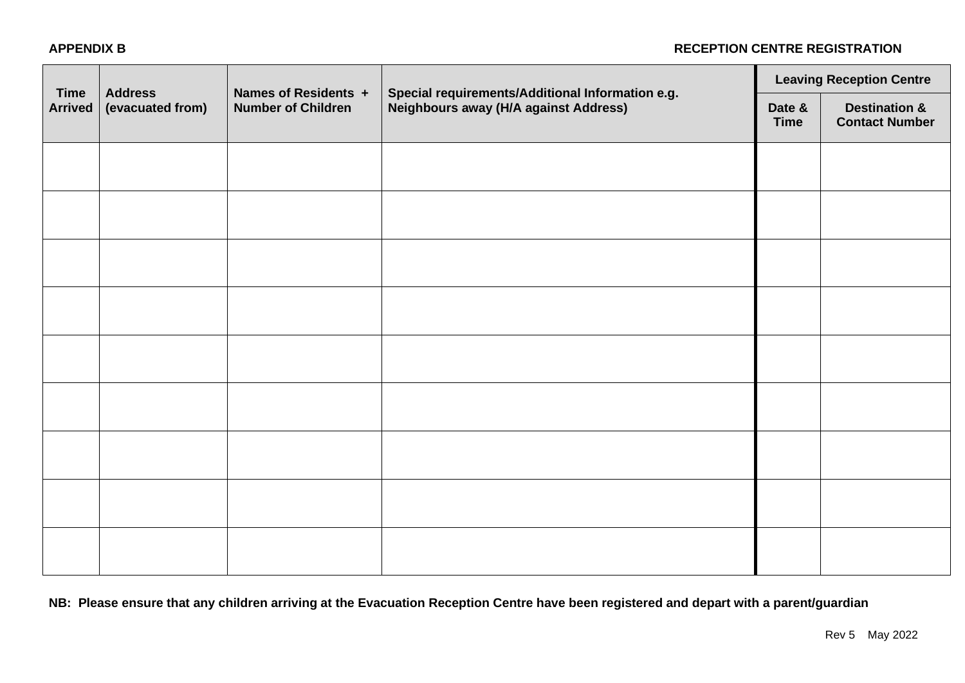#### **APPENDIX B RECEPTION CENTRE REGISTRATION**

| <b>Time</b><br><b>Arrived</b> | <b>Address</b><br>(evacuated from) | Names of Residents +<br><b>Number of Children</b> | Special requirements/Additional Information e.g.<br><b>Neighbours away (H/A against Address)</b> | <b>Leaving Reception Centre</b> |                                                   |
|-------------------------------|------------------------------------|---------------------------------------------------|--------------------------------------------------------------------------------------------------|---------------------------------|---------------------------------------------------|
|                               |                                    |                                                   |                                                                                                  | Date &<br><b>Time</b>           | <b>Destination &amp;</b><br><b>Contact Number</b> |
|                               |                                    |                                                   |                                                                                                  |                                 |                                                   |
|                               |                                    |                                                   |                                                                                                  |                                 |                                                   |
|                               |                                    |                                                   |                                                                                                  |                                 |                                                   |
|                               |                                    |                                                   |                                                                                                  |                                 |                                                   |
|                               |                                    |                                                   |                                                                                                  |                                 |                                                   |
|                               |                                    |                                                   |                                                                                                  |                                 |                                                   |
|                               |                                    |                                                   |                                                                                                  |                                 |                                                   |
|                               |                                    |                                                   |                                                                                                  |                                 |                                                   |
|                               |                                    |                                                   |                                                                                                  |                                 |                                                   |

**NB: Please ensure that any children arriving at the Evacuation Reception Centre have been registered and depart with a parent/guardian**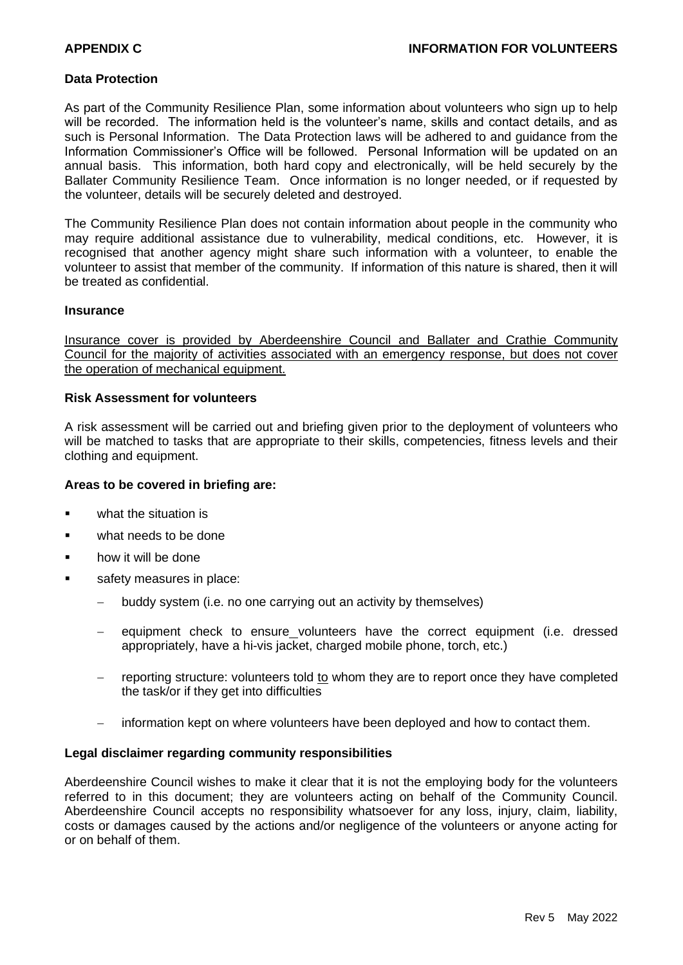#### **Data Protection**

As part of the Community Resilience Plan, some information about volunteers who sign up to help will be recorded. The information held is the volunteer's name, skills and contact details, and as such is Personal Information. The Data Protection laws will be adhered to and guidance from the Information Commissioner's Office will be followed. Personal Information will be updated on an annual basis. This information, both hard copy and electronically, will be held securely by the Ballater Community Resilience Team. Once information is no longer needed, or if requested by the volunteer, details will be securely deleted and destroyed.

The Community Resilience Plan does not contain information about people in the community who may require additional assistance due to vulnerability, medical conditions, etc. However, it is recognised that another agency might share such information with a volunteer, to enable the volunteer to assist that member of the community. If information of this nature is shared, then it will be treated as confidential.

#### **Insurance**

Insurance cover is provided by Aberdeenshire Council and Ballater and Crathie Community Council for the majority of activities associated with an emergency response, but does not cover the operation of mechanical equipment.

#### **Risk Assessment for volunteers**

A risk assessment will be carried out and briefing given prior to the deployment of volunteers who will be matched to tasks that are appropriate to their skills, competencies, fitness levels and their clothing and equipment.

#### **Areas to be covered in briefing are:**

- what the situation is
- what needs to be done
- how it will be done
- safety measures in place:
	- − buddy system (i.e. no one carrying out an activity by themselves)
	- equipment check to ensure\_volunteers have the correct equipment (i.e. dressed appropriately, have a hi-vis jacket, charged mobile phone, torch, etc.)
	- reporting structure: volunteers told to whom they are to report once they have completed the task/or if they get into difficulties
	- − information kept on where volunteers have been deployed and how to contact them.

#### **Legal disclaimer regarding community responsibilities**

Aberdeenshire Council wishes to make it clear that it is not the employing body for the volunteers referred to in this document; they are volunteers acting on behalf of the Community Council. Aberdeenshire Council accepts no responsibility whatsoever for any loss, injury, claim, liability, costs or damages caused by the actions and/or negligence of the volunteers or anyone acting for or on behalf of them.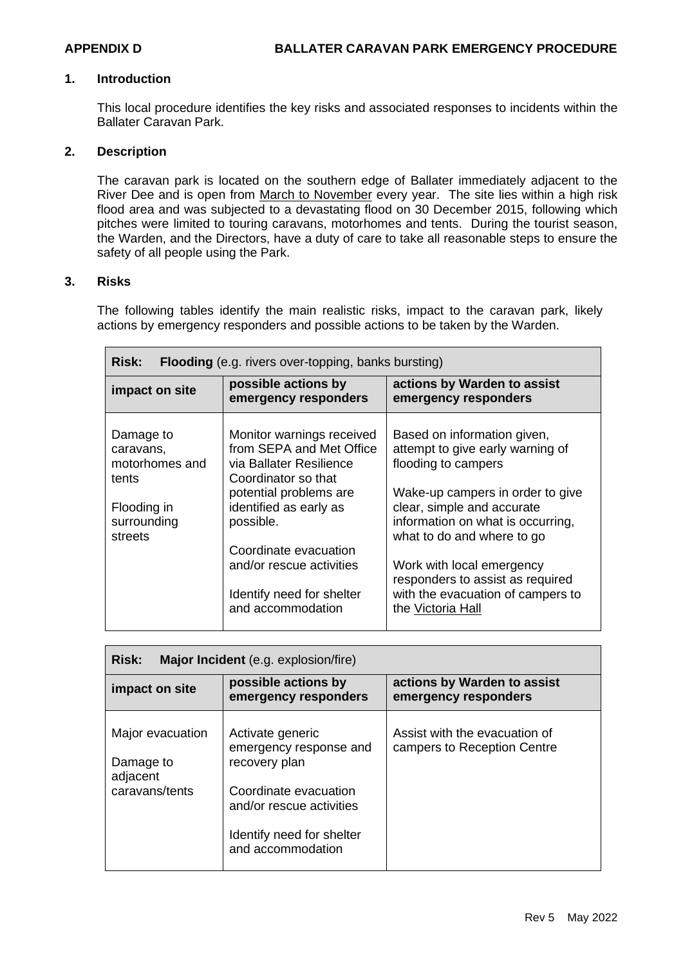#### **1. Introduction**

This local procedure identifies the key risks and associated responses to incidents within the Ballater Caravan Park.

#### **2. Description**

The caravan park is located on the southern edge of Ballater immediately adjacent to the River Dee and is open from March to November every year. The site lies within a high risk flood area and was subjected to a devastating flood on 30 December 2015, following which pitches were limited to touring caravans, motorhomes and tents. During the tourist season, the Warden, and the Directors, have a duty of care to take all reasonable steps to ensure the safety of all people using the Park.

#### **3. Risks**

The following tables identify the main realistic risks, impact to the caravan park, likely actions by emergency responders and possible actions to be taken by the Warden.

| <b>Risk:</b><br><b>Flooding</b> (e.g. rivers over-topping, banks bursting) |                                                                                                         |                                                                                                                                   |  |  |  |  |  |
|----------------------------------------------------------------------------|---------------------------------------------------------------------------------------------------------|-----------------------------------------------------------------------------------------------------------------------------------|--|--|--|--|--|
| impact on site                                                             | possible actions by<br>emergency responders                                                             | actions by Warden to assist<br>emergency responders                                                                               |  |  |  |  |  |
| Damage to<br>caravans,<br>motorhomes and<br>tents                          | Monitor warnings received<br>from SEPA and Met Office<br>via Ballater Resilience<br>Coordinator so that | Based on information given,<br>attempt to give early warning of<br>flooding to campers                                            |  |  |  |  |  |
| Flooding in<br>surrounding<br>streets                                      | potential problems are<br>identified as early as<br>possible.<br>Coordinate evacuation                  | Wake-up campers in order to give<br>clear, simple and accurate<br>information on what is occurring,<br>what to do and where to go |  |  |  |  |  |
|                                                                            | and/or rescue activities<br>Identify need for shelter<br>and accommodation                              | Work with local emergency<br>responders to assist as required<br>with the evacuation of campers to<br>the Victoria Hall           |  |  |  |  |  |

| <b>Risk:</b><br>Major Incident (e.g. explosion/fire)        |                                                                                                                                                                    |                                                              |  |  |  |  |  |
|-------------------------------------------------------------|--------------------------------------------------------------------------------------------------------------------------------------------------------------------|--------------------------------------------------------------|--|--|--|--|--|
| impact on site                                              | possible actions by<br>emergency responders                                                                                                                        | actions by Warden to assist<br>emergency responders          |  |  |  |  |  |
| Major evacuation<br>Damage to<br>adjacent<br>caravans/tents | Activate generic<br>emergency response and<br>recovery plan<br>Coordinate evacuation<br>and/or rescue activities<br>Identify need for shelter<br>and accommodation | Assist with the evacuation of<br>campers to Reception Centre |  |  |  |  |  |